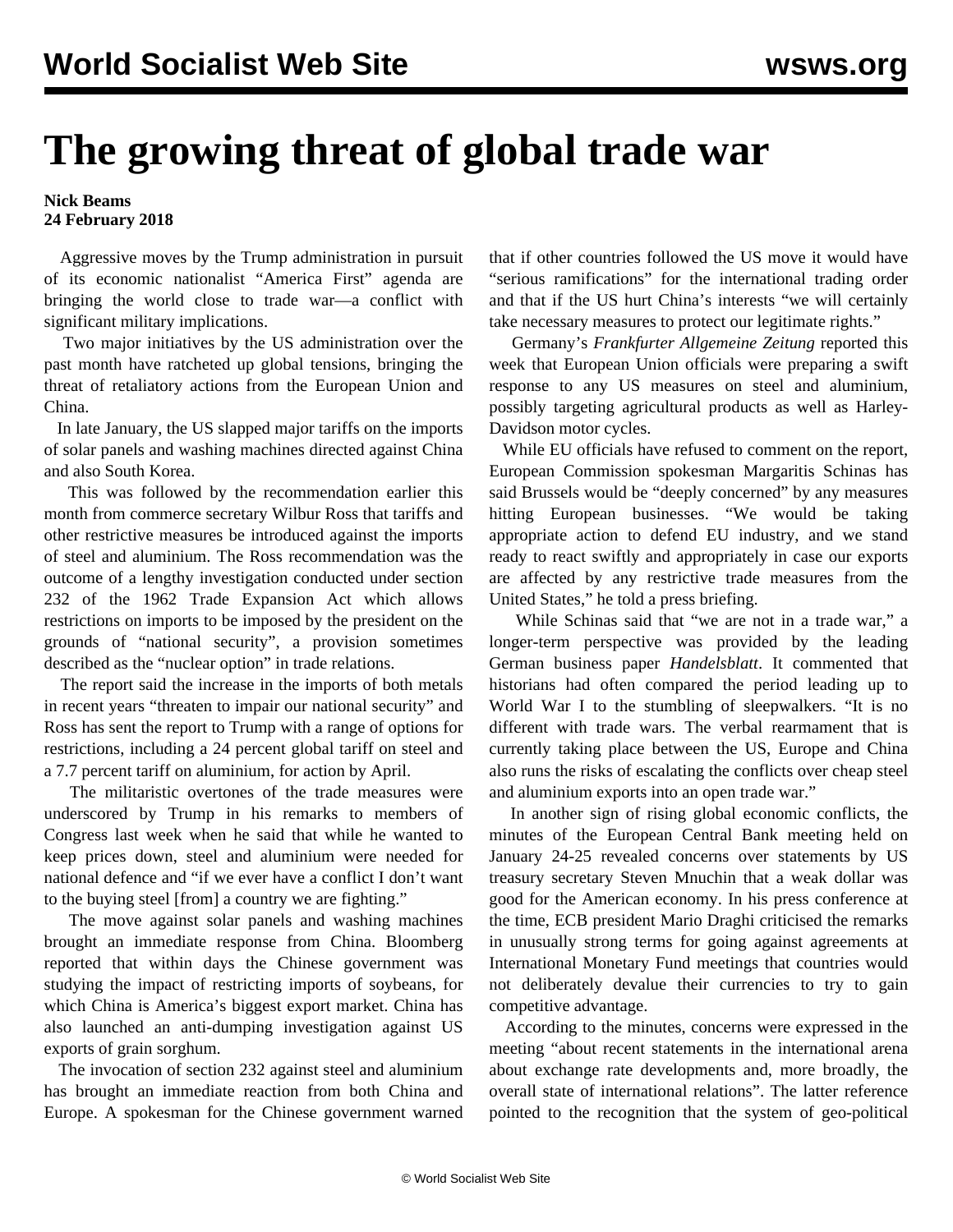## **The growing threat of global trade war**

## **Nick Beams 24 February 2018**

 Aggressive moves by the Trump administration in pursuit of its economic nationalist "America First" agenda are bringing the world close to trade war—a conflict with significant military implications.

 Two major initiatives by the US administration over the past month have ratcheted up global tensions, bringing the threat of retaliatory actions from the European Union and China.

 In late January, the US slapped major tariffs on the imports of solar panels and washing machines directed against China and also South Korea.

 This was followed by the recommendation earlier this month from commerce secretary Wilbur Ross that tariffs and other restrictive measures be introduced against the imports of steel and aluminium. The Ross recommendation was the outcome of a lengthy investigation conducted under section 232 of the 1962 Trade Expansion Act which allows restrictions on imports to be imposed by the president on the grounds of "national security", a provision sometimes described as the "nuclear option" in trade relations.

 The report said the increase in the imports of both metals in recent years "threaten to impair our national security" and Ross has sent the report to Trump with a range of options for restrictions, including a 24 percent global tariff on steel and a 7.7 percent tariff on aluminium, for action by April.

 The militaristic overtones of the trade measures were underscored by Trump in his remarks to members of Congress last week when he said that while he wanted to keep prices down, steel and aluminium were needed for national defence and "if we ever have a conflict I don't want to the buying steel [from] a country we are fighting."

 The move against solar panels and washing machines brought an immediate response from China. Bloomberg reported that within days the Chinese government was studying the impact of restricting imports of soybeans, for which China is America's biggest export market. China has also launched an anti-dumping investigation against US exports of grain sorghum.

 The invocation of section 232 against steel and aluminium has brought an immediate reaction from both China and Europe. A spokesman for the Chinese government warned that if other countries followed the US move it would have "serious ramifications" for the international trading order and that if the US hurt China's interests "we will certainly take necessary measures to protect our legitimate rights."

 Germany's *Frankfurter Allgemeine Zeitung* reported this week that European Union officials were preparing a swift response to any US measures on steel and aluminium, possibly targeting agricultural products as well as Harley-Davidson motor cycles.

 While EU officials have refused to comment on the report, European Commission spokesman Margaritis Schinas has said Brussels would be "deeply concerned" by any measures hitting European businesses. "We would be taking appropriate action to defend EU industry, and we stand ready to react swiftly and appropriately in case our exports are affected by any restrictive trade measures from the United States," he told a press briefing.

 While Schinas said that "we are not in a trade war," a longer-term perspective was provided by the leading German business paper *Handelsblatt*. It commented that historians had often compared the period leading up to World War I to the stumbling of sleepwalkers. "It is no different with trade wars. The verbal rearmament that is currently taking place between the US, Europe and China also runs the risks of escalating the conflicts over cheap steel and aluminium exports into an open trade war."

 In another sign of rising global economic conflicts, the minutes of the European Central Bank meeting held on January 24-25 revealed concerns over statements by US treasury secretary Steven Mnuchin that a weak dollar was good for the American economy. In his press conference at the time, ECB president Mario Draghi criticised the remarks in unusually strong terms for going against agreements at International Monetary Fund meetings that countries would not deliberately devalue their currencies to try to gain competitive advantage.

 According to the minutes, concerns were expressed in the meeting "about recent statements in the international arena about exchange rate developments and, more broadly, the overall state of international relations". The latter reference pointed to the recognition that the system of geo-political